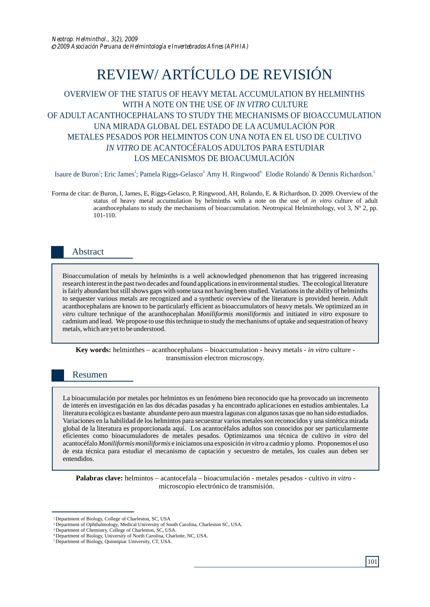# REVIEW/ ARTÍCULO DE REVISIÓN

# OVERVIEW OF THE STATUS OF HEAVY METAL ACCUMULATION BY HELMINTHS WITH A NOTE ON THE USE OF *IN VITRO* CULTURE OF ADULT ACANTHOCEPHALANS TO STUDY THE MECHANISMS OF BIOACCUMULATION UNA MIRADA GLOBAL DEL ESTADO DE LAACUMULACIÓN POR METALES PESADOS POR HELMINTOS CON UNA NOTA EN EL USO DE CULTIVO *IN VITRO* DE ACANTOCÉFALOS ADULTOS PARA ESTUDIAR LOS MECANISMOS DE BIOACUMULACIÓN

Isaure de Buron<sup>1</sup>; Eric James<sup>2</sup>; Pamela Riggs-Gelasco<sup>3;</sup> Amy H. Ringwood<sup>4;</sup> Elodie Rolando<sup>1</sup> & Dennis Richardson.<sup>5</sup>

Forma de citar: de Buron, I, James, E, Riggs-Gelasco, P, Ringwood, AH, Rolando, E. & Richardson, D. 2009. Overview of the status of heavy metal accumulation by helminths with a note on the use of *in vitro* culture of adult acanthocephalans to study the mechanisms of bioaccumulation. Neotropical Helminthology, vol 3,  $N^{\circ}$  2, pp. 101-110.

# Abstract

Bioaccumulation of metals by helminths is a well acknowledged phenomenon that has triggered increasing research interest in the past two decades and found applications in environmental studies. The ecological literature is fairly abundant but still shows gaps with some taxa not having been studied. Variations in the ability of helminths to sequester various metals are recognized and a synthetic overview of the literature is provided herein. Adult acanthocephalans are known to be particularly efficient as bioaccumulators of heavy metals. We optimized an *in vitro* culture technique of the acanthocephalan *Moniliformis moniliformis* and initiated *in vitro* exposure to cadmium and lead*.* We propose to use this technique to study the mechanisms of uptake and sequestration of heavy metals, which are yet to be understood.

**Key words:** helminthes – acanthocephalans – bioaccumulation - heavy metals - *in vitro* culture transmission electron microscopy.

# Resumen

La bioacumulación por metales por helmintos es un fenómeno bien reconocido que ha provocado un incremento de interés en investigación en las dos décadas pasadas y ha encontrado aplicaciones en estudios ambientales. La literatura ecológica es bastante abundante pero aun muestra lagunas con algunos taxas que no han sido estudiados. Variaciones en la habilidad de los helmintos para secuestrar varios metales son reconocidos y una sintética mirada global de la literatura es proporcionada aquí. Los acantocéfalos adultos son conocidos por ser particularmente eficientes como bioacumuladores de metales pesados. Optimizamos una técnica de cultivo *in vitro* del acantocéfalo *Moniliformis moniliformis* e iniciamos una exposición *in vitro* a cadmio y plomo. Proponemos el uso de esta técnica para estudiar el mecanismo de captación y secuestro de metales, los cuales aun deben ser entendidos.

**Palabras clave:** helmintos – acantocefala – bioacumulación - metales pesados - cultivo *in vitro* microscopio electrónico de transmisión.

<sup>&</sup>lt;sup>1</sup> Department of Biology, College of Charleston, SC, USA

<sup>&</sup>lt;sup>2</sup> Department of Ophthalmology, Medical University of South Carolina, Charleston SC, USA.<br><sup>3</sup> Department of Chemistry, College of Charleston, SC, USA.

Department of Biology, University of North Carolina, Charlotte, NC, USA. 4 <sup>5</sup> Department of Biology, Quinnipiac University, CT, USA.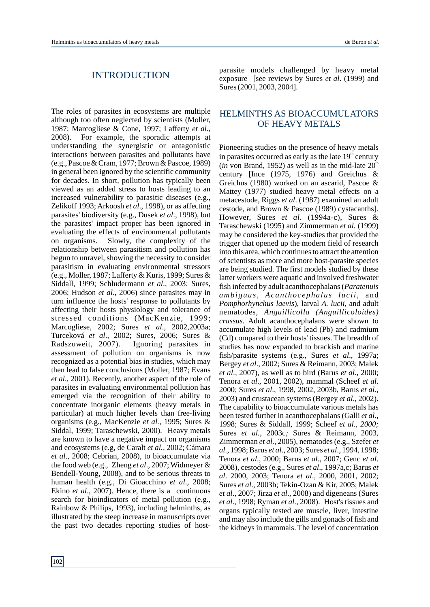### INTRODUCTION

The roles of parasites in ecosystems are multiple although too often neglected by scientists (Moller, 1987; Marcogliese & Cone, 1997; Lafferty *et al*., 2008). For example, the sporadic attempts at understanding the synergistic or antagonistic interactions between parasites and pollutants have (e.g., Pascoe & Cram, 1977; Brown & Pascoe, 1989) in general been ignored by the scientific community for decades. In short, pollution has typically been viewed as an added stress to hosts leading to an increased vulnerability to parasitic diseases (e.g., Zelikoff 1993; Arkoosh *et al*., 1998), or as affecting parasites' biodiversity (e.g., Dusek *et al*., 1998), but the parasites' impact proper has been ignored in evaluating the effects of environmental pollutants on organisms. Slowly, the complexity of the relationship between parasitism and pollution has begun to unravel, showing the necessity to consider parasitism in evaluating environmental stressors (e.g., Moller, 1987; Lafferty & Kuris, 1999; Sures & Siddall, 1999; Schludermann *et al*., 2003; Sures, 2006; Hudson *et al*., 2006) since parasites may in turn influence the hosts' response to pollutants by affecting their hosts physiology and tolerance of stressed conditions (MacKenzie, 1999; Marcogliese, 2002; Sures *et al*., 2002,2003a; Turceková *et al*., 2002; Sures, 2006; Sures & Radszuweit, 2007). Ignoring parasites in assessment of pollution on organisms is now recognized as a potential bias in studies, which may then lead to false conclusions (Moller, 1987; Evans *et al*., 2001). Recently, another aspect of the role of parasites in evaluating environmental pollution has emerged via the recognition of their ability to concentrate inorganic elements (heavy metals in particular) at much higher levels than free-living organisms (e.g., MacKenzie *et al.,* 1995; Sures & Siddal, 1999; Taraschewski, 2000). Heavy metals are known to have a negative impact on organisms and ecosystems (e.g, de Caralt *et al.,* 2002; Cámara *et al*., 2008; Cebrian, 2008), to bioaccumulate via the food web (e.g., Zheng *et al*., 2007; Widmeyer & Bendell-Young, 2008), and to be serious threats to human health (e.g., Di Gioacchino *et al*., 2008; Ekino *et al*., 2007). Hence, there is a continuous search for bioindicators of metal pollution (e.g., Rainbow & Philips, 1993), including helminths, as illustrated by the steep increase in manuscripts over the past two decades reporting studies of host-

parasite models challenged by heavy metal exposure [see reviews by Sures *et al*. (1999) and Sures (2001, 2003, 2004].

## HELMINTHS AS BIOACCUMULATORS OF HEAVY METALS

Pioneering studies on the presence of heavy metals in parasites occurred as early as the late  $19<sup>th</sup>$  century  $(in$  von Brand, 1952) as well as in the mid-late  $20<sup>th</sup>$ century [Ince (1975, 1976) and Greichus & Greichus (1980) worked on an ascarid, Pascoe & Mattey (1977) studied heavy metal effects on a metacestode, Riggs *et al*. (1987) examined an adult cestode, and Brown & Pascoe (1989) cystacanths]. However, Sures *et al*. (1994a-c), Sures & Taraschewski (1995) and Zimmerman *et al.* (1999) may be considered the key-studies that provided the trigger that opened up the modern field of research into this area, which continues to attract the attention of scientists as more and more host-parasite species are being studied. The first models studied by these latter workers were aquatic and involved freshwater fish infected by adult acanthocephalans (*Paratenuis ambiguus, Acanthoc ephalus luc ii,* and *Pomphorhynchus laevis*), larval *A. lucii*, and adult nematodes, *Anguillicolla (Anguillicoloides) crassus*. Adult acanthocephalans were shown to accumulate high levels of lead (Pb) and cadmium (Cd) compared to their hosts' tissues. The breadth of studies has now expanded to brackish and marine fish/parasite systems (e.g., Sures *et al*., 1997a; Bergey *et al*., 2002; Sures & Reimann, 2003; Malek *et al*., 2007), as well as to bird (Barus *et al.*, 2000; Tenora *et al*., 2001, 2002), mammal (Scheef *et al*. 2000; Sures *et al*., 1998, 2002, 2003b, Barus *et al*., 2003) and crustacean systems (Bergey *et al*., 2002). The capability to bioaccumulate various metals has been tested further in acanthocephalans (Galli *et al*., 1998; Sures & Siddall, 1999; Scheef *et al., 2000;*  Sures *et al.,* 2003c*;* Sures & Reimann, 2003, Zimmerman *et al*., 2005), nematodes (e.g., Szefer *et al.*, 1998; Barus *et al*., 2003; Sures *et al*., 1994, 1998; Tenora *et al*., 2000; Barus *et al*., 2007; Genc *et al*. 2008), cestodes (e.g., Sures *et al*., 1997a,c; Barus *et al*. 2000, 2003; Tenora *et al*., 2000, 2001, 2002; Sures *et al*., 2003b; Tekin-Ozan & Kir, 2005; Malek *et al*., 2007; Jirza *et al*., 2008) and digeneans (Sures *et al*., 1998; Ryman *et al.,* 2008). Host's tissues and organs typically tested are muscle, liver, intestine and may also include the gills and gonads of fish and the kidneys in mammals. The level of concentration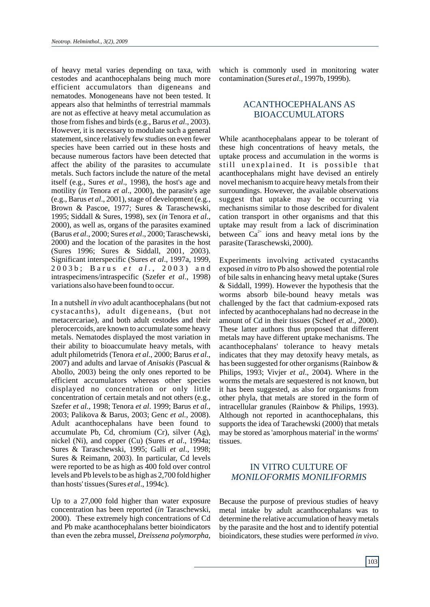of heavy metal varies depending on taxa, with cestodes and acanthocephalans being much more efficient accumulators than digeneans and nematodes. Monogeneans have not been tested. It appears also that helminths of terrestrial mammals are not as effective at heavy metal accumulation as those from fishes and birds (e.g., Barus *et al*., 2003). However, it is necessary to modulate such a general statement, since relatively few studies on even fewer species have been carried out in these hosts and because numerous factors have been detected that affect the ability of the parasites to accumulate metals. Such factors include the nature of the metal itself (e.g., Sures *et al*., 1998), the host's age and motility (*in* Tenora *et al*., 2000), the parasite's age (e.g., Barus *et al*., 2001), stage of development (e.g., Brown & Pascoe, 1977; Sures & Taraschewski, 1995; Siddall & Sures, 1998), sex (*in* Tenora *et al*., 2000), as well as, organs of the parasites examined (Barus *et al*., 2000; Sures *et al*., 2000; Taraschewski, 2000) and the location of the parasites in the host (Sures 1996; Sures & Siddall, 2001, 2003). Significant interspecific (Sures *et al*., 1997a, 1999, 2 0 0 3 b ; B a r u s *e t a l* . , 2 0 0 3 ) a n d intraspecimens/intraspecific (Szefer *et al*., 1998) variations also have been found to occur.

In a nutshell *in vivo* adult acanthocephalans (but not cystacanths), adult digeneans, (but not metacercariae), and both adult cestodes and their plerocercoids, are known to accumulate some heavy metals. Nematodes displayed the most variation in their ability to bioaccumulate heavy metals, with adult philometrids (Tenora *et al*., 2000; Barus *et al*., 2007) and adults and larvae of *Anisakis* (Pascual & Abollo, 2003) being the only ones reported to be efficient accumulators whereas other species displayed no concentration or only little concentration of certain metals and not others (e.g., Szefer *et al*., 1998; Tenora *et al*. 1999; Barus *et al*., 2003; Palikova & Barus, 2003; Genc *et al.,* 2008). Adult acanthocephalans have been found to accumulate Pb, Cd, chromium (Cr), silver (Ag), nickel (Ni), and copper (Cu) (Sures *et al*., 1994a; Sures & Taraschewski, 1995; Galli *et al*., 1998; Sures & Reimann, 2003). In particular, Cd levels were reported to be as high as 400 fold over control levels and Pb levels to be as high as 2,700 fold higher than hosts' tissues (Sures *et al*., 1994c).

Up to a 27,000 fold higher than water exposure concentration has been reported (*in* Taraschewski, 2000). These extremely high concentrations of Cd and Pb make acanthocephalans better bioindicators than even the zebra mussel, *Dreissena polymorpha*,

which is commonly used in monitoring water contamination (Sures *et al*., 1997b, 1999b).

## ACANTHOCEPHALANS AS BIOACCUMULATORS

While acanthocephalans appear to be tolerant of these high concentrations of heavy metals, the uptake process and accumulation in the worms is still unexplained. It is possible that acanthocephalans might have devised an entirely novel mechanism to acquire heavy metals from their surroundings. However, the available observations suggest that uptake may be occurring via mechanisms similar to those described for divalent cation transport in other organisms and that this uptake may result from a lack of discrimination between  $Ca^{2+}$  ions and heavy metal ions by the parasite (Taraschewski, 2000).

Experiments involving activated cystacanths exposed *in vitro* to Pb also showed the potential role of bile salts in enhancing heavy metal uptake (Sures & Siddall, 1999). However the hypothesis that the worms absorb bile-bound heavy metals was challenged by the fact that cadmium-exposed rats infected by acanthocephalans had no decrease in the amount of Cd in their tissues (Scheef *et al*., 2000). These latter authors thus proposed that different metals may have different uptake mechanisms. The acanthocephalans' tolerance to heavy metals indicates that they may detoxify heavy metals, as has been suggested for other organisms (Rainbow & Philips, 1993; Vivjer *et al*., 2004). Where in the worms the metals are sequestered is not known, but it has been suggested, as also for organisms from other phyla, that metals are stored in the form of intracellular granules (Rainbow & Philips, 1993). Although not reported in acanthocephalans, this supports the idea of Tarachewski (2000) that metals may be stored as 'amorphous material' in the worms' tissues.

## IN VITRO CULTURE OF *MONILOFORMIS MONILIFORMIS*

Because the purpose of previous studies of heavy metal intake by adult acanthocephalans was to determine the relative accumulation of heavy metals by the parasite and the host and to identify potential bioindicators, these studies were performed *in vivo*.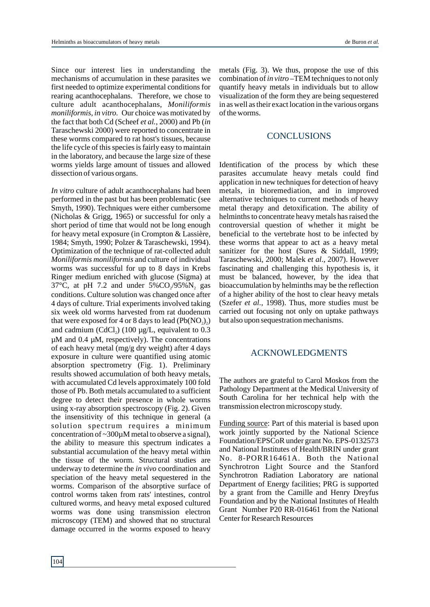Since our interest lies in understanding the mechanisms of accumulation in these parasites we first needed to optimize experimental conditions for rearing acanthocephalans. Therefore, we chose to culture adult acanthocephalans, *Moniliformis moniliformis, in vitro.* Our choice was motivated by the fact that both Cd (Scheef *et al.*, 2000) and Pb (*in* Taraschewski 2000) were reported to concentrate in these worms compared to rat host's tissues, because the life cycle of this species is fairly easy to maintain in the laboratory, and because the large size of these worms yields large amount of tissues and allowed dissection of various organs.

*In vitro* culture of adult acanthocephalans had been performed in the past but has been problematic (see Smyth, 1990). Techniques were either cumbersome (Nicholas & Grigg, 1965) or successful for only a short period of time that would not be long enough for heavy metal exposure (in Crompton & Lassière, 1984; Smyth, 1990; Polzer & Taraschewski, 1994). Optimization of the technique of rat-collected adult *Moniliformis moniliformis* and culture of individual worms was successful for up to 8 days in Krebs Ringer medium enriched with glucose (Sigma) at 37°C, at pH 7.2 and under  $5\%CO_2/95\%N_2$  gas conditions. Culture solution was changed once after 4 days of culture. Trial experiments involved taking six week old worms harvested from rat duodenum that were exposed for 4 or 8 days to lead  $(Pb(NO_2))$ and cadmium (CdCl<sub>2</sub>) (100  $\mu$ g/L, equivalent to 0.3 µM and 0.4 µM, respectively). The concentrations of each heavy metal (mg/g dry weight) after 4 days exposure in culture were quantified using atomic absorption spectrometry (Fig. 1). Preliminary results showed accumulation of both heavy metals, with accumulated Cd levels approximately 100 fold those of Pb. Both metals accumulated to a sufficient degree to detect their presence in whole worms using x-ray absorption spectroscopy (Fig. 2). Given the insensitivity of this technique in general (a solution spectrum requires a minimum concentration of ~300µM metal to observe a signal), the ability to measure this spectrum indicates a substantial accumulation of the heavy metal within the tissue of the worm. Structural studies are underway to determine the *in vivo* coordination and speciation of the heavy metal sequestered in the worms. Comparison of the absorptive surface of control worms taken from rats' intestines, control cultured worms, and heavy metal exposed cultured worms was done using transmission electron microscopy (TEM) and showed that no structural damage occurred in the worms exposed to heavy

metals (Fig. 3). We thus, propose the use of this combination of *in vitro* –TEM techniques to not only quantify heavy metals in individuals but to allow visualization of the form they are being sequestered in as well as their exact location in the various organs of the worms.

#### **CONCLUSIONS**

Identification of the process by which these parasites accumulate heavy metals could find application in new techniques for detection of heavy metals, in bioremediation, and in improved alternative techniques to current methods of heavy metal therapy and detoxification. The ability of helminths to concentrate heavy metals has raised the controversial question of whether it might be beneficial to the vertebrate host to be infected by these worms that appear to act as a heavy metal sanitizer for the host (Sures & Siddall, 1999; Taraschewski, 2000; Malek *et al*., 2007). However fascinating and challenging this hypothesis is, it must be balanced, however, by the idea that bioaccumulation by helminths may be the reflection of a higher ability of the host to clear heavy metals (Szefer *et al.*, 1998). Thus, more studies must be carried out focusing not only on uptake pathways but also upon sequestration mechanisms.

### ACKNOWLEDGMENTS

The authors are grateful to Carol Moskos from the Pathology Department at the Medical University of South Carolina for her technical help with the transmission electron microscopy study.

Funding source: Part of this material is based upon work jointly supported by the National Science Foundation/EPSCoR under grant No. EPS-0132573 and National Institutes of Health/BRIN under grant No. 8-PORR16461A. Both the National Synchrotron Light Source and the Stanford Synchrotron Radiation Laboratory are national Department of Energy facilities; PRG is supported by a grant from the Camille and Henry Dreyfus Foundation and by the National Institutes of Health Grant Number P20 RR-016461 from the National Center for Research Resources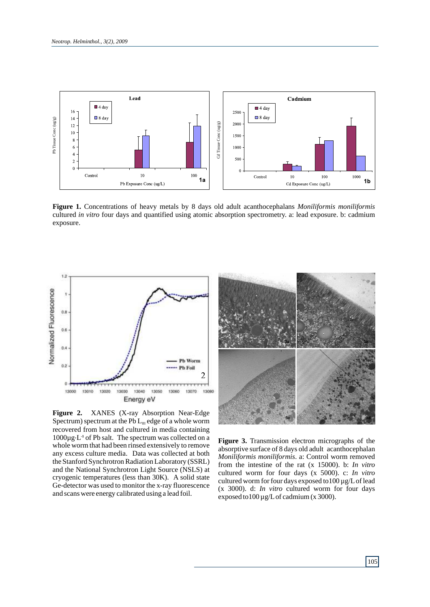

**Figure 1.** Concentrations of heavy metals by 8 days old adult acanthocephalans *Moniliformis moniliformis* cultured *in vitro* four days and quantified using atomic absorption spectrometry. a: lead exposure. b: cadmium exposure.



**Figure 2.** XANES (X-ray Absorption Near-Edge Spectrum) spectrum at the Pb  $L_{\text{III}}$  edge of a whole worm recovered from host and cultured in media containing  $1000\mu$ g.<sup>L.1</sup> of Pb salt. The spectrum was collected on a whole worm that had been rinsed extensively to remove any excess culture media. Data was collected at both the Stanford Synchrotron Radiation Laboratory (SSRL) and the National Synchrotron Light Source (NSLS) at cryogenic temperatures (less than 30K). A solid state Ge-detector was used to monitor the x-ray fluorescence and scans were energy calibrated using a lead foil.



**Figure 3.** Transmission electron micrographs of the absorptive surface of 8 days old adult acanthocephalan *Moniliformis moniliformis*. a: Control worm removed from the intestine of the rat (x 15000). b: *In vitro* cultured worm for four days (x 5000). c: *In vitro* cultured worm for four days exposed to100 µg/Lof lead (x 3000). d: *In vitro* cultured worm for four days exposed to100 µg/Lof cadmium (x 3000).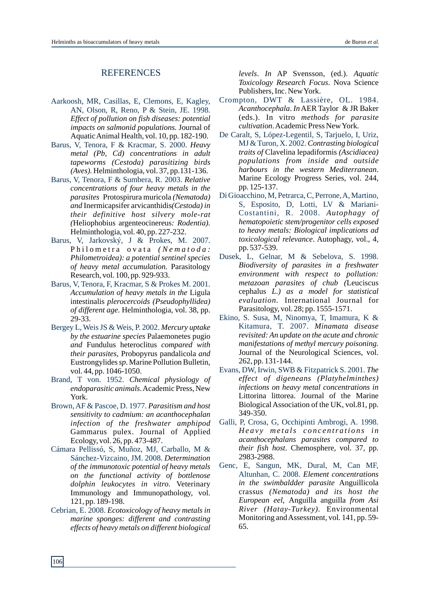### **REFERENCES**

- Aarkoosh, MR, Casillas, E, Clemons, E, Kagley, AN, Olson, R, Reno, P & Stein, JE. 1998. *Effect of pollution on fish diseases: potential impacts on salmonid populations.* Journal of Aquatic Animal Health, vol. 10, pp. 182-190.
- Barus, V, Tenora, F & Kracmar, S. 2000. *Heavy metal (Pb, Cd) concentrations in adult tapeworms (Cestoda) parasitizing birds (Aves).* Helminthologia, vol. 37, pp.131-136.
- Barus, V, Tenora, F & Sumbera, R. 2003. *Relative concentrations of four heavy metals in the parasites* Protospirura muricola *(Nematoda) and* Inermicapsifer arvicanthidis*(Cestoda) in their definitive host silvery mole-rat (*Heliophobius argenteocinereus*: Rodentia).* Helminthologia, vol. 40, pp. 227-232.
- Barus, V, Jarkovský, J & Prokes, M. 2007. Philometra ovata (Nematoda: *Philometroidea): a potential sentinel species of heavy metal accumulation.* Parasitology Research, vol. 100, pp. 929-933.
- Barus, V, Tenora, F, Kracmar, S & Prokes M. 2001. *Accumulation of heavy metals in the* Ligula intestinalis *plerocercoids (Pseudophyllidea) of different age*. Helminthologia, vol. 38, pp. 29-33.
- Bergey L, Weis JS & Weis, P. 2002. *Mercury uptake by the estuarine species* Palaemonetes pugio *and* Fundulus heteroclitus *compared with their parasites*, Probopyrus pandalicola *and* Eustrongylides *sp*. Marine Pollution Bulletin, vol. 44, pp. 1046-1050.
- Brand, T von. 1952. *Chemical physiology of endoparasitic animals*. Academic Press, New York.
- Brown, AF & Pascoe, D. 1977. *Parasitism and host sensitivity to cadmium: an acanthocephalan infection of the freshwater amphipod* Gammarus pulex. Journal of Applied Ecology, vol. 26, pp. 473-487.
- Cámara Pellissó, S, Muñoz, MJ, Carballo, M & Sánchez-Vizcaino, JM. 2008. *Determination of the immunotoxic potential of heavy metals on the functional activity of bottlenose dolphin leukocytes in vitro.* Veterinary Immunology and Immunopathology, vol. 121, pp. 189-198.
- Cebrian, E. 2008. *Ecotoxicology of heavy metals in marine sponges: different and contrasting effects of heavy metals on different biological*

*levels*. *In* AP Svensson, (ed.). *Aquatic Toxicology Research Focus*. Nova Science Publishers, Inc. New York.

- *Acanthocephala*. *In*AER Taylor & JR Baker (eds.). In vitro *methods for parasite cultivation*. Academic Press New York. Crompton, DWT & Lassière, OL. 1984.
- *Contrasting biological*  MJ & Turon, X. 2002. *traits of* Clavelina lepadiformis *(Ascidiacea) populations from inside and outside harbours in the western Mediterranean*. Marine Ecology Progress Series, vol. 244, pp. 125-137. De Caralt, S, López-Legentil, S, Tarjuelo, I, Uriz,
- Costantini, R. 2008. Autophagy of *hematopoietic stem/progenitor cells exposed to heavy metals: Biological implications ad toxicological relevance*. Autophagy, vol., 4, pp. 537-539. Di Gioacchino, M, Petrarca, C, Perrone, A, Martino, S, Esposito, D, Lotti, LV & Mariani-
- *Biodiversity of parasites in a freshwater environment with respect to pollution: metazoan parasites of chub (*Leuciscus cephalus *L.) as a model for statistical evaluation.* International Journal for Parasitology, vol. 28; pp. 1555-1571. Dusek, L, Gelnar, M & Sebelova, S. 1998.
- *Minamata disease* Kitamura, T. 2007. *revisited: An update on the acute and chronic manifestations of methyl mercury poisoning.* Journal of the Neurological Sciences, vol. 262, pp. 131-144. Ekino, S. Susa, M, Ninomya, T, Imamura, K &
- Evans, DW, Irwin, SWB & Fitzpatrick S. 2001. The *effect of digeneans (Platyhelminthes) infections on heavy metal concentrations in* Littorina littorea. Journal of the Marine Biological Association of the UK, vol.81, pp. 349-350.
- *Heavy metals concentrations in acanthocephalans parasites compared to their fish host*. Chemosphere, vol. 37, pp. 2983-2988. Galli, P, Crosa, G, Occhipinti Ambrogi, A. 1998.
- *Element concentrations*  Altunhan, C. 2008. *in the swimbaldder parasite* Anguillicola crassus *(Nematoda) and its host the European eel,* Anguilla anguilla *from Asi River (Hatay-Turkey).* Environmental Monitoring and Assessment, vol. 141, pp. 59- 65. Genc, E, Sangun, MK, Dural, M, Can MF,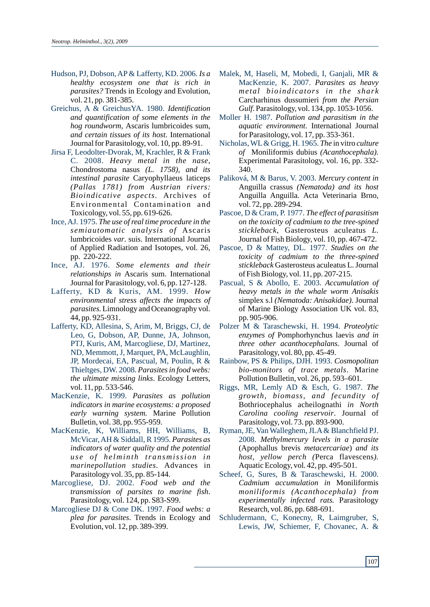- Hudson, PJ, Dobson, AP & Lafferty, KD. 2006. *Is a healthy ecosystem one that is rich in parasites?* Trends in Ecology and Evolution, vol. 21, pp. 381-385.
- Greichus, A & GreichusYA. 1980. *Identification and quantification of some elements in the hog roundworm,* Ascaris lumbricoides sum, *and certain tissues of its host*. International Journal for Parasitology, vol. 10, pp. 89-91.
- Jirsa F, Leodolter-Dvorak, M, Krachler, R & Frank C. 2008. *Heavy metal in the nase*, Chondrostoma nasus *(L. 1758), and its intestinal parasite* Caryophyllaeus laticeps *(Pallas 1781) from Austrian rivers: Bioindicative aspects.* Archives of Environmental Contamination and Toxicology, vol. 55, pp. 619-626.
- Ince, AJ. 1975. *The use of real time procedure in the semiautomatic analysis of* Ascaris lumbricoides *var*. suis. International Journal of Applied Radiation and Isotopes, vol. 26, pp. 220-222.
- Ince, AJ. 1976. *Some elements and their relationships in* Ascaris sum. International Journal for Parasitology, vol. 6, pp. 127-128.
- Lafferty, KD & Kuris, AM. 1999. *How environmental stress affects the impacts of parasites.* Limnology and Oceanography vol. 44, pp. 925-931.
- Lafferty, KD, Allesina, S, Arim, M, Briggs, CJ, de Leo, G, Dobson, AP, Dunne, JA, Johnson, PTJ, Kuris, AM, Marcogliese, DJ, Martinez, ND, Memmott, J, Marquet, PA, McLaughlin, JP, Mordecai, EA, Pascual, M, Poulin, R & Thieltges, DW. 2008. *Parasites in food webs: the ultimate missing links*. Ecology Letters, vol. 11, pp. 533-546.
- MacKenzie, K. 1999. *Parasites as pollution indicators in marine ecosystems: a proposed early warning system.* Marine Pollution Bulletin, vol. 38, pp. 955-959.
- MacKenzie, K, Williams, HH, Williams, B, McVicar, AH & Siddall, R 1995. *Parasites as indicators of water quality and the potential u s e o f h e lmi n t h tr a n smissi o n i n marinepollution studies.* Advances in Parasitology vol. 35, pp. 85-144.
- Marcogliese, DJ. 2002. *Food web and the transmission of parsites to marine fish*. Parasitology, vol. 124, pp. S83-S99.
- Marcogliese DJ & Cone DK. 1997. *Food webs: a plea for parasites*. Trends in Ecology and Evolution, vol. 12, pp. 389-399.
- Malek, M, Haseli, M, Mobedi, I, Ganjali, MR & MacKenzie, K. 2007. *Parasites as heavy metal bioindicators in the shark* Carcharhinus dussumieri *from the Persian Gulf*. Parasitology, vol. 134, pp. 1053-1056.
- Moller H. 1987. *Pollution and parasitism in the aquatic environment*. International Journal for Parasitology, vol. 17, pp. 353-361.
- Nicholas, WL& Grigg, H. 1965. *The* in vitro *culture of* Moniliformis dubius *(Acanthocephala).* Experimental Parasitology, vol. 16, pp. 332- 340.
- Paliková, M & Barus, V. 2003. *Mercury content in*  Anguilla crassus *(Nematoda) and its host*  Anguilla Anguilla*.* Acta Veterinaria Brno, vol. 72, pp. 289-294.
- Pascoe, D & Cram, P. 1977. *The effect of parasitism on the toxicity of cadmium to the tree-spined stickleback,* Gasterosteus aculeatus *L.* Journal of Fish Biology, vol. 10, pp. 467-472.
- Pascoe, D & Mattey, DL. 1977. *Studies on the toxicity of cadmium to the three-spined stickleback* Gasterosteus aculeatus L. Journal of Fish Biology, vol. 11, pp. 207-215.
- Pascual, S & Abollo, E. 2003. *Accumulation of heavy metals in the whale worm Anisakis*  simplex s.l *(Nematoda: Anisakidae)*. Journal of Marine Biology Association UK vol. 83, pp. 905-906.
- Polzer M & Taraschewski, H. 1994. *Proteolytic enzymes of* Pomphorhynchus laevis *and in three other acanthocephalans*. Journal of Parasitology, vol. 80, pp. 45-49.
- Rainbow, PS & Philips, DJH. 1993. *Cosmopolitan bio-monitors of trace metals*. Marine Pollution Bulletin, vol. 26, pp. 593–601.
- Riggs, MR, Lemly AD & Esch, G. 1987. *The growth, biomass, and fecundity of* Bothriocephalus acheilognathi *in North Carolina cooling reservoir*. Journal of Parasitology, vol. 73. pp. 893-900.
- Ryman, JE, Van Walleghem, JLA& Blanchfield PJ. 2008. *Methylmercury levels in a parasite*  (Apophallus brevis *metacercariae*) *and its host, yellow perch (*Perca flavescens*).* Aquatic Ecology, vol. 42, pp. 495-501.
- Scheef, G, Sures, B & Taraschewski, H. 2000. *Cadmium accumulation in* Moniliformis *moniliformis (Acanthocephala) from experimentally infected rats.* Parasitology Research, vol. 86, pp. 688-691.
- Schludermann, C, Konecny, R, Laimgruber, S, Lewis, JW, Schiemer, F, Chovanec, A. &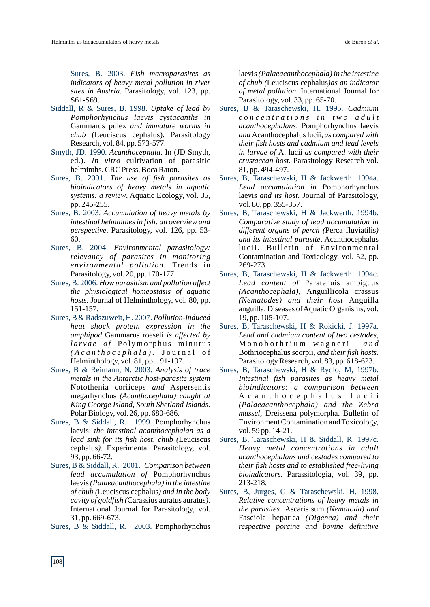Sures, B. 2003. *Fish macroparasites as indicators of heavy metal pollution in river sites in Austria.* Parasitology, vol. 123, pp. S61-S69.

- Siddall, R & Sures, B. 1998. *Uptake of lead by Pomphorhynchus laevis cystacanths in* Gammarus pulex *and immature worms in chub* (Leuciscus cephalus). Parasitology Research, vol. 84, pp. 573-577.
- Smyth, JD. 1990. *Acanthocephala*. In (JD Smyth, ed.). *In vitro* cultivation of parasitic helminths. CRC Press, Boca Raton.
- Sures, B. 2001. *The use of fish parasites as bioindicators of heavy metals in aquatic systems: a review*. Aquatic Ecology, vol. 35, pp. 245-255.
- Sures, B. 2003. *Accumulation of heavy metals by intestinal helminthes in fish: an overview and perspective*. Parasitology, vol. 126, pp. 53- 60.
- Sures, B. 2004. *Environmental parasitology: relevancy of parasites in monitoring environmental pollution.* Trends in Parasitology, vol. 20, pp. 170-177.
- Sures, B. 2006. *How parasitism and pollution affect the physiological homeostasis of aquatic hosts.* Journal of Helminthology, vol. 80, pp. 151-157.
- Sures, B & Radszuweit, H. 2007. *Pollution-induced heat shock protein expression in the amphipod* Gammarus roeseli *is affected by l a r v a e o f* P o l ymo r p h u s mi n u t u s *( A c a n t h o c e p h a l a ) .* J o u r n a l o f Helminthology, vol. 81, pp. 191-197.
- Sures, B & Reimann, N. 2003. *Analysis of trace metals in the Antarctic host-parasite system*  Notothenia coriiceps *and* Aspersentis megarhynchus *(Acanthocephala) caught at King George Island, South Shetland Islands*. Polar Biology, vol. 26, pp. 680-686.
- Sures, B & Siddall, R. 1999. Pomphorhynchus laevis: *the intestinal acanthocephalan as a lead sink for its fish host, chub (*Leuciscus cephalus*)*. Experimental Parasitology, vol. 93, pp. 66-72.
- Sures, B & Siddall, R. 2001. *Comparison between lead accumulation of* Pomphorhynchus laevis*(Palaeacanthocephala) in the intestine of chub (*Leuciscus cephalus*) and in the body cavity of goldfish (*Carassius auratus auratus*)*. International Journal for Parasitology, vol. 31, pp. 669-673.
- Sures, B & Siddall, R. 2003. Pomphorhynchus

laevis*(Palaeacanthocephala) in the intestine of chub (*Leuciscus cephalus*)as an indicator of metal pollution.* International Journal for Parasitology, vol. 33, pp. 65-70.

- Sures, B & Taraschewski, H. 1995. Cadmium *c o n c e n t r a t i o n s i n t w o a d u l t acanthocephalans,* Pomphorhynchus laevis *and* Acanthocephalus lucii*, as compared with their fish hosts and cadmium and lead levels in larvae of* A. lucii *as compared with their crustacean host.* Parasitology Research vol. 81, pp. 494-497.
- *Lead accumulation in* Pomphorhynchus laevis *and its host*. Journal of Parasitology, vol. 80, pp. 355-357. Sures, B, Taraschewski, H & Jackwerth. 1994a.
- *Comparative study of lead accumulation in different organs of perch (*Perca fluviatilis*) and its intestinal parasite,* Acanthocephalus lucii. Bulletin of Environmental Contamination and Toxicology, vol. 52, pp. 269-273. Sures, B, Taraschewski, H & Jackwerth. 1994b.
- *Lead content of* Paratenuis ambiguus *(Acanthocephala),* Anguillicola crassus *(Nematodes) and their host* Anguilla anguilla*.* Diseases of Aquatic Organisms, vol. 19, pp. 105-107. Sures, B, Taraschewski, H & Jackwerth. 1994c.
- *Lead and cadmium content of two cestodes,*  M o n o b o t h r i u m w a g n e r i *a n d* Bothriocephalus scorpii*, and their fish hosts.*  Parasitology Research, vol. 83, pp. 618-623. Sures, B, Taraschewski, H & Rokicki, J. 1997a.
- *Intestinal fish parasites as heavy metal bioindicators: a comparison between* A c a n t h o c e p h a l u s l u c i i *(Palaeacanthocephala) and the Zebra mussel,* Dreissena polymorpha. Bulletin of Environment Contamination and Toxicology, vol. 59 pp. 14-21. Sures, B, Taraschewski, H & Rydlo, M, 1997b.
- *Heavy metal concentrations in adult acanthocephalans and cestodes compared to their fish hosts and to established free-living bioindicators.* Parassitologia, vol. 39, pp. 213-218. Sures, B, Taraschewski, H & Siddall, R. 1997c.
- *Relative concentrations of heavy metals in the parasites* Ascaris sum *(Nematoda) and*  Fasciola hepatica *(Digenea) and their respective porcine and bovine definitive*  Sures, B, Jurges, G & Taraschewski, H. 1998.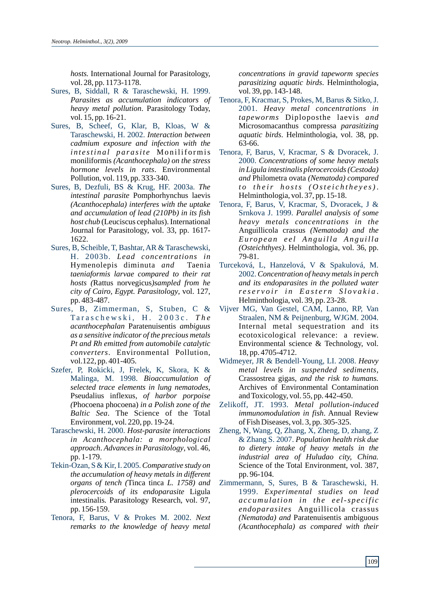*hosts.* International Journal for Parasitology, vol. 28, pp. 1173-1178.

- *Parasites as accumulation indicators of heavy metal pollution*. Parasitology Today, vol. 15, pp. 16-21. Sures, B, Siddall, R & Taraschewski, H. 1999.
- *Interaction between*  Taraschewski, H. 2002. *cadmium exposure and infection with the i n t e sti n a l p a r a sit e* Mo n ilif o rmis moniliformis *(Acanthocephala) on the stress hormone levels in rats*. Environmental Pollution, vol. 119, pp. 333-340. Sures, B, Scheef, G, Klar, B, Kloas, W &
- *The*  Sures, B, Dezfuli, BS & Krug, HF. 2003a. *intestinal parasite* Pomphorhynchus laevis *(Acanthocephala) interferes with the uptake and accumulation of lead (210Pb) in its fish host chub* (Leuciscus cephalus). International Journal for Parasitology, vol. 33, pp. 1617- 1622.
- *Lead concentrations in* H. 2003b. Hymenolepis diminuta *and* Taenia *taeniaformis larvae compared to their rat hosts (*Rattus norvegicus*)sampled from he city of Cairo, Egypt. Parasitology*, vol. 127, pp. 483-487. Sures, B, Scheible, T, Bashtar, AR & Taraschewski,
- *Taraschewski, H. 2003c. The acanthocephalan* Paratenuisentis *ambiguus as a sensitive indicator of the precious metals Pt and Rh emitted from automobile catalytic converters*. Environmental Pollution, vol.122, pp. 401-405. Sures, B, Zimmerman, S, Stuben, C &
- *Bioaccumulation of* Malinga, M. 1998. *selected trace elements in lung nematodes,*  Pseudalius inflexus*, of harbor porpoise (*Phocoena phocoena) *in a Polish zone of the Baltic Sea*. The Science of the Total Environment, vol. 220, pp. 19-24. Szefer, P, Rokicki, J, Frelek, K, Skora, K &
- *Host-parasite interactions*  Taraschewski, H. 2000. *in Acanthocephala: a morphological approach*. *Advances in Parasitology*, vol. 46, pp. 1-179.
- *Comparative study on*  Tekin-Ozan, S & Kir, I. 2005. *the accumulation of heavy metals in different organs of tench (*Tinca tinca *L. 1758) and plerocercoids of its endoparasite* Ligula intestinalis*.* Parasitology Research, vol. 97, pp. 156-159.
- *Next*  Tenora, F, Barus, V & Prokes M. 2002. *remarks to the knowledge of heavy metal*

*concentrations in gravid tapeworm species parasitizing aquatic birds*. Helminthologia, vol. 39, pp. 143-148.

- *Heavy metal concentrations in* 2001. *tapeworms* Diploposthe laevis *and* Microsomacanthus compressa *parasitizing aquatic birds*. Helminthologia, vol. 38, pp. 63-66. Tenora, F, Kracmar, S, Prokes, M, Barus & Sitko, J.
- *Concentrations of some heavy metals*  2000. *in Ligula intestinalis plerocercoids (Cestoda) and* Philometra ovata *(Nematoda) compared t o t h e ir h o sts ( O st e i c h t h e y e s)*. Helminthologia, vol. 37, pp. 15-18. Tenora, F, Barus, V, Kracmar, S & Dvoracek, J.
- *Parallel analysis of some*  Srnkova J. 1999. *heavy metals concentrations in the* Anguillicola crassus *(Nematoda) and the Eu ro p e a n e e l An g u ill a An g u ill a (Osteichthyes)*. Helminthologia, vol. 36, pp. 79-81. Tenora, F, Barus, V, Kracmar, S, Dvoracek, J &
- *Concentration of heavy metals in perch*  2002. *and its endoparasites in the polluted water r e s e r v o ir i n E a st e r n S l o v a k i a* . Helminthologia, vol. 39, pp. 23-28. Turceková, L, Hanzelová, V & Spakulová, M.
- Internal metal sequestration and its ecotoxicological relevance: a review. Environmental science & Technology, vol. 18, pp. 4705-4712. Vijver MG, Van Gestel, CAM, Lanno, RP, Van Straalen, NM & Peijnenburg, WJGM. 2004.
- Widmeyer, JR & Bendell-Young, LI. 2008. Heavy *metal levels in suspended sediments,* Crassostrea gigas*, and the risk to humans.* Archives of Environmental Contamination and Toxicology, vol. 55, pp. 442-450.
- *Metal pollution-induced* Zelikoff, JT. 1993. *immunomodulation in fish*. Annual Review of Fish Diseases, vol. 3, pp. 305-325.
- *Population health risk due*  & Zhang S. 2007. *to dietery intake of heavy metals in the industrial area of Huludao city, China.* Science of the Total Environment, vol. 387, pp. 96-104. Zheng, N, Wang, Q, Zhang, X, Zheng, D, zhang, Z
- *Experimental studies on lead* 1999. *a c c umu l a ti o n i n t h e e e l-s p e c ifi c endoparasites* Anguillicola crassus *(Nematoda) and* Paratenuisentis ambiguous *(Acanthocephala) as compared with their*  Zimmermann, S, Sures, B & Taraschewski, H.